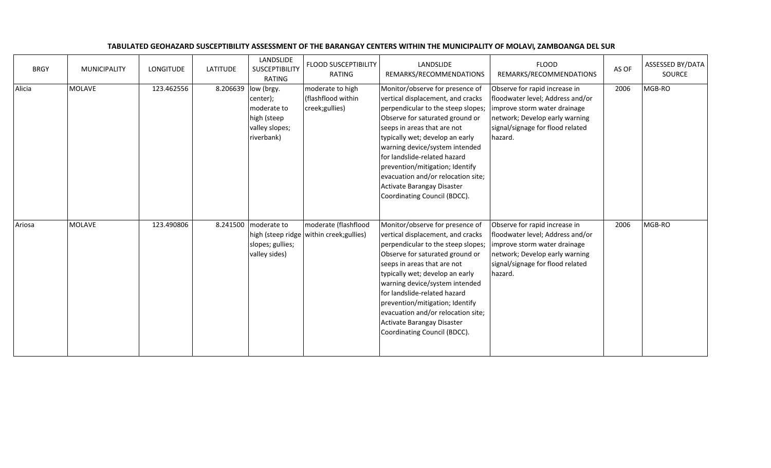| <b>BRGY</b> | MUNICIPALITY  | <b>LONGITUDE</b> | <b>LATITUDE</b> | LANDSLIDE<br>SUSCEPTIBILITY<br><b>RATING</b>                                         | <b>FLOOD SUSCEPTIBILITY</b><br>RATING                              | LANDSLIDE<br>REMARKS/RECOMMENDATIONS                                                                                                                                                                                                                                                                                                                                                                                     | <b>FLOOD</b><br>REMARKS/RECOMMENDATIONS                                                                                                                                            | AS OF | ASSESSED BY/DATA<br>SOURCE |
|-------------|---------------|------------------|-----------------|--------------------------------------------------------------------------------------|--------------------------------------------------------------------|--------------------------------------------------------------------------------------------------------------------------------------------------------------------------------------------------------------------------------------------------------------------------------------------------------------------------------------------------------------------------------------------------------------------------|------------------------------------------------------------------------------------------------------------------------------------------------------------------------------------|-------|----------------------------|
| Alicia      | MOLAVE        | 123.462556       | 8.206639        | low (brgy.<br>center);<br>moderate to<br>high (steep<br>valley slopes;<br>riverbank) | moderate to high<br>(flashflood within<br>creek;gullies)           | Monitor/observe for presence of<br>vertical displacement, and cracks<br>perpendicular to the steep slopes;<br>Observe for saturated ground or<br>seeps in areas that are not<br>typically wet; develop an early<br>warning device/system intended<br>for landslide-related hazard<br>prevention/mitigation; Identify<br>evacuation and/or relocation site;<br>Activate Barangay Disaster<br>Coordinating Council (BDCC). | Observe for rapid increase in<br>floodwater level; Address and/or<br>improve storm water drainage<br>network; Develop early warning<br>signal/signage for flood related<br>hazard. | 2006  | MGB-RO                     |
| Ariosa      | <b>MOLAVE</b> | 123.490806       | 8.241500        | moderate to<br>slopes; gullies;<br>valley sides)                                     | moderate (flashflood<br>high (steep ridge   within creek; gullies) | Monitor/observe for presence of<br>vertical displacement, and cracks<br>perpendicular to the steep slopes;<br>Observe for saturated ground or<br>seeps in areas that are not<br>typically wet; develop an early<br>warning device/system intended<br>for landslide-related hazard<br>prevention/mitigation; Identify<br>evacuation and/or relocation site;<br>Activate Barangay Disaster<br>Coordinating Council (BDCC). | Observe for rapid increase in<br>floodwater level; Address and/or<br>improve storm water drainage<br>network; Develop early warning<br>signal/signage for flood related<br>hazard. | 2006  | MGB-RO                     |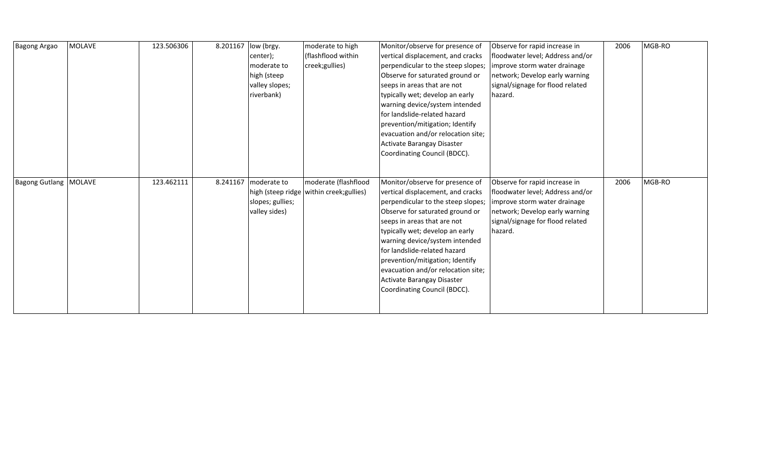| <b>Bagong Argao</b>            | <b>MOLAVE</b> | 123.506306 | 8.201167 | low (brgy.<br>center);<br>moderate to<br>high (steep<br>valley slopes;<br>riverbank) | moderate to high<br>(flashflood within<br>creek;gullies) | Monitor/observe for presence of<br>vertical displacement, and cracks<br>perpendicular to the steep slopes;<br>Observe for saturated ground or<br>seeps in areas that are not<br>typically wet; develop an early<br>warning device/system intended<br>for landslide-related hazard<br>prevention/mitigation; Identify<br>evacuation and/or relocation site;<br>Activate Barangay Disaster<br>Coordinating Council (BDCC). | Observe for rapid increase in<br>floodwater level; Address and/or<br>improve storm water drainage<br>network; Develop early warning<br>signal/signage for flood related<br>hazard. | 2006 | MGB-RO |
|--------------------------------|---------------|------------|----------|--------------------------------------------------------------------------------------|----------------------------------------------------------|--------------------------------------------------------------------------------------------------------------------------------------------------------------------------------------------------------------------------------------------------------------------------------------------------------------------------------------------------------------------------------------------------------------------------|------------------------------------------------------------------------------------------------------------------------------------------------------------------------------------|------|--------|
| <b>Bagong Gutlang   MOLAVE</b> |               | 123.462111 | 8.241167 | moderate to<br>high (steep ridge<br>slopes; gullies;<br>valley sides)                | moderate (flashflood<br>within creek; gullies)           | Monitor/observe for presence of<br>vertical displacement, and cracks<br>perpendicular to the steep slopes;<br>Observe for saturated ground or<br>seeps in areas that are not<br>typically wet; develop an early<br>warning device/system intended<br>for landslide-related hazard<br>prevention/mitigation; Identify<br>evacuation and/or relocation site;<br>Activate Barangay Disaster<br>Coordinating Council (BDCC). | Observe for rapid increase in<br>floodwater level; Address and/or<br>improve storm water drainage<br>network; Develop early warning<br>signal/signage for flood related<br>hazard. | 2006 | MGB-RO |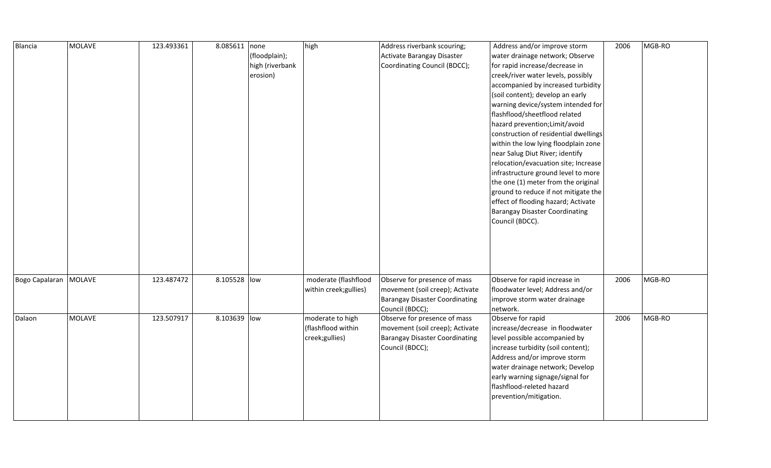| Blancia                 | <b>MOLAVE</b> | 123.493361 | 8.085611 none |                 | high                   | Address riverbank scouring;           | Address and/or improve storm          | 2006 | MGB-RO |
|-------------------------|---------------|------------|---------------|-----------------|------------------------|---------------------------------------|---------------------------------------|------|--------|
|                         |               |            |               | (floodplain);   |                        | Activate Barangay Disaster            | water drainage network; Observe       |      |        |
|                         |               |            |               | high (riverbank |                        | Coordinating Council (BDCC);          | for rapid increase/decrease in        |      |        |
|                         |               |            |               | erosion)        |                        |                                       | creek/river water levels, possibly    |      |        |
|                         |               |            |               |                 |                        |                                       | accompanied by increased turbidity    |      |        |
|                         |               |            |               |                 |                        |                                       | (soil content); develop an early      |      |        |
|                         |               |            |               |                 |                        |                                       | warning device/system intended for    |      |        |
|                         |               |            |               |                 |                        |                                       | flashflood/sheetflood related         |      |        |
|                         |               |            |               |                 |                        |                                       | hazard prevention; Limit/avoid        |      |        |
|                         |               |            |               |                 |                        |                                       | construction of residential dwellings |      |        |
|                         |               |            |               |                 |                        |                                       | within the low lying floodplain zone  |      |        |
|                         |               |            |               |                 |                        |                                       | near Salug Diut River; identify       |      |        |
|                         |               |            |               |                 |                        |                                       | relocation/evacuation site; Increase  |      |        |
|                         |               |            |               |                 |                        |                                       | infrastructure ground level to more   |      |        |
|                         |               |            |               |                 |                        |                                       | the one (1) meter from the original   |      |        |
|                         |               |            |               |                 |                        |                                       | ground to reduce if not mitigate the  |      |        |
|                         |               |            |               |                 |                        |                                       | effect of flooding hazard; Activate   |      |        |
|                         |               |            |               |                 |                        |                                       | <b>Barangay Disaster Coordinating</b> |      |        |
|                         |               |            |               |                 |                        |                                       | Council (BDCC).                       |      |        |
|                         |               |            |               |                 |                        |                                       |                                       |      |        |
|                         |               |            |               |                 |                        |                                       |                                       |      |        |
|                         |               |            |               |                 |                        |                                       |                                       |      |        |
|                         |               |            |               |                 |                        |                                       |                                       |      |        |
|                         |               |            |               |                 |                        |                                       |                                       |      |        |
| Bogo Capalaran   MOLAVE |               | 123.487472 | 8.105528 low  |                 | moderate (flashflood   | Observe for presence of mass          | Observe for rapid increase in         | 2006 | MGB-RO |
|                         |               |            |               |                 | within creek; gullies) | movement (soil creep); Activate       | floodwater level; Address and/or      |      |        |
|                         |               |            |               |                 |                        | Barangay Disaster Coordinating        | improve storm water drainage          |      |        |
|                         |               |            |               |                 |                        | Council (BDCC);                       | network.                              |      |        |
| Dalaon                  | <b>MOLAVE</b> | 123.507917 | 8.103639 low  |                 | moderate to high       | Observe for presence of mass          | Observe for rapid                     | 2006 | MGB-RO |
|                         |               |            |               |                 | (flashflood within     | movement (soil creep); Activate       | increase/decrease in floodwater       |      |        |
|                         |               |            |               |                 | creek;gullies)         | <b>Barangay Disaster Coordinating</b> | level possible accompanied by         |      |        |
|                         |               |            |               |                 |                        | Council (BDCC);                       | increase turbidity (soil content);    |      |        |
|                         |               |            |               |                 |                        |                                       | Address and/or improve storm          |      |        |
|                         |               |            |               |                 |                        |                                       | water drainage network; Develop       |      |        |
|                         |               |            |               |                 |                        |                                       | early warning signage/signal for      |      |        |
|                         |               |            |               |                 |                        |                                       | flashflood-releted hazard             |      |        |
|                         |               |            |               |                 |                        |                                       | prevention/mitigation.                |      |        |
|                         |               |            |               |                 |                        |                                       |                                       |      |        |
|                         |               |            |               |                 |                        |                                       |                                       |      |        |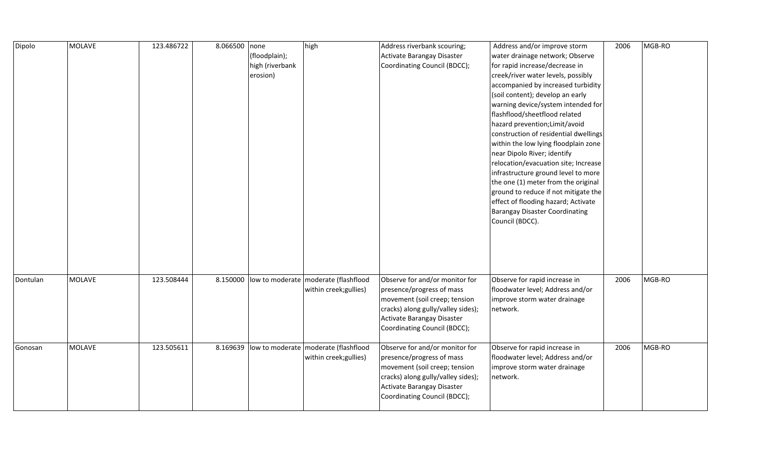| Dipolo   | <b>MOLAVE</b> | 123.486722 | 8.066500 none | (floodplain);<br>high (riverbank<br>erosion) | high                                                             | Address riverbank scouring;<br>Activate Barangay Disaster<br>Coordinating Council (BDCC);                                                                                                        | Address and/or improve storm<br>water drainage network; Observe<br>for rapid increase/decrease in<br>creek/river water levels, possibly<br>accompanied by increased turbidity<br>(soil content); develop an early                                                                                                                                                                                                                                                                      | 2006 | MGB-RO |
|----------|---------------|------------|---------------|----------------------------------------------|------------------------------------------------------------------|--------------------------------------------------------------------------------------------------------------------------------------------------------------------------------------------------|----------------------------------------------------------------------------------------------------------------------------------------------------------------------------------------------------------------------------------------------------------------------------------------------------------------------------------------------------------------------------------------------------------------------------------------------------------------------------------------|------|--------|
|          |               |            |               |                                              |                                                                  |                                                                                                                                                                                                  | warning device/system intended for<br>flashflood/sheetflood related<br>hazard prevention; Limit/avoid<br>construction of residential dwellings<br>within the low lying floodplain zone<br>near Dipolo River; identify<br>relocation/evacuation site; Increase<br>infrastructure ground level to more<br>the one (1) meter from the original<br>ground to reduce if not mitigate the<br>effect of flooding hazard; Activate<br><b>Barangay Disaster Coordinating</b><br>Council (BDCC). |      |        |
| Dontulan | <b>MOLAVE</b> | 123.508444 | 8.150000      |                                              | low to moderate   moderate (flashflood<br>within creek; gullies) | Observe for and/or monitor for<br>presence/progress of mass<br>movement (soil creep; tension<br>cracks) along gully/valley sides);<br>Activate Barangay Disaster<br>Coordinating Council (BDCC); | Observe for rapid increase in<br>floodwater level; Address and/or<br>improve storm water drainage<br>network.                                                                                                                                                                                                                                                                                                                                                                          | 2006 | MGB-RO |
| Gonosan  | <b>MOLAVE</b> | 123.505611 | 8.169639      |                                              | low to moderate   moderate (flashflood<br>within creek; gullies) | Observe for and/or monitor for<br>presence/progress of mass<br>movement (soil creep; tension<br>cracks) along gully/valley sides);<br>Activate Barangay Disaster<br>Coordinating Council (BDCC); | Observe for rapid increase in<br>floodwater level; Address and/or<br>improve storm water drainage<br>network.                                                                                                                                                                                                                                                                                                                                                                          | 2006 | MGB-RO |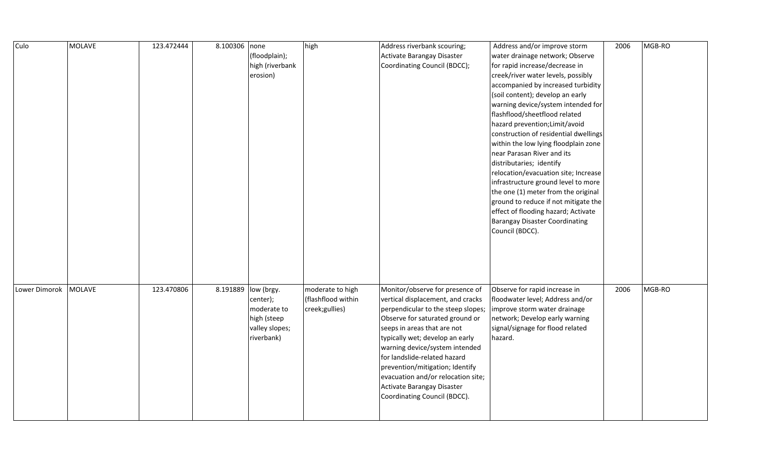| Culo          | <b>MOLAVE</b> | 123.472444 | 8.100306 none |                 | high               | Address riverbank scouring;        | Address and/or improve storm          | 2006 | MGB-RO |
|---------------|---------------|------------|---------------|-----------------|--------------------|------------------------------------|---------------------------------------|------|--------|
|               |               |            |               | (floodplain);   |                    | Activate Barangay Disaster         | water drainage network; Observe       |      |        |
|               |               |            |               | high (riverbank |                    | Coordinating Council (BDCC);       | for rapid increase/decrease in        |      |        |
|               |               |            |               | erosion)        |                    |                                    | creek/river water levels, possibly    |      |        |
|               |               |            |               |                 |                    |                                    | accompanied by increased turbidity    |      |        |
|               |               |            |               |                 |                    |                                    | (soil content); develop an early      |      |        |
|               |               |            |               |                 |                    |                                    | warning device/system intended for    |      |        |
|               |               |            |               |                 |                    |                                    | flashflood/sheetflood related         |      |        |
|               |               |            |               |                 |                    |                                    | hazard prevention; Limit/avoid        |      |        |
|               |               |            |               |                 |                    |                                    | construction of residential dwellings |      |        |
|               |               |            |               |                 |                    |                                    | within the low lying floodplain zone  |      |        |
|               |               |            |               |                 |                    |                                    | near Parasan River and its            |      |        |
|               |               |            |               |                 |                    |                                    | distributaries; identify              |      |        |
|               |               |            |               |                 |                    |                                    | relocation/evacuation site; Increase  |      |        |
|               |               |            |               |                 |                    |                                    | infrastructure ground level to more   |      |        |
|               |               |            |               |                 |                    |                                    | the one (1) meter from the original   |      |        |
|               |               |            |               |                 |                    |                                    | ground to reduce if not mitigate the  |      |        |
|               |               |            |               |                 |                    |                                    | effect of flooding hazard; Activate   |      |        |
|               |               |            |               |                 |                    |                                    | <b>Barangay Disaster Coordinating</b> |      |        |
|               |               |            |               |                 |                    |                                    | Council (BDCC).                       |      |        |
|               |               |            |               |                 |                    |                                    |                                       |      |        |
|               |               |            |               |                 |                    |                                    |                                       |      |        |
|               |               |            |               |                 |                    |                                    |                                       |      |        |
|               |               |            |               |                 |                    |                                    |                                       |      |        |
|               |               |            |               |                 |                    |                                    |                                       |      |        |
| Lower Dimorok | MOLAVE        | 123.470806 | 8.191889      | low (brgy.      | moderate to high   | Monitor/observe for presence of    | Observe for rapid increase in         | 2006 | MGB-RO |
|               |               |            |               | center);        | (flashflood within | vertical displacement, and cracks  | floodwater level; Address and/or      |      |        |
|               |               |            |               | moderate to     | creek;gullies)     | perpendicular to the steep slopes; | improve storm water drainage          |      |        |
|               |               |            |               | high (steep     |                    | Observe for saturated ground or    | network; Develop early warning        |      |        |
|               |               |            |               | valley slopes;  |                    | seeps in areas that are not        | signal/signage for flood related      |      |        |
|               |               |            |               | riverbank)      |                    | typically wet; develop an early    | hazard.                               |      |        |
|               |               |            |               |                 |                    | warning device/system intended     |                                       |      |        |
|               |               |            |               |                 |                    | for landslide-related hazard       |                                       |      |        |
|               |               |            |               |                 |                    | prevention/mitigation; Identify    |                                       |      |        |
|               |               |            |               |                 |                    | evacuation and/or relocation site; |                                       |      |        |
|               |               |            |               |                 |                    | Activate Barangay Disaster         |                                       |      |        |
|               |               |            |               |                 |                    | Coordinating Council (BDCC).       |                                       |      |        |
|               |               |            |               |                 |                    |                                    |                                       |      |        |
|               |               |            |               |                 |                    |                                    |                                       |      |        |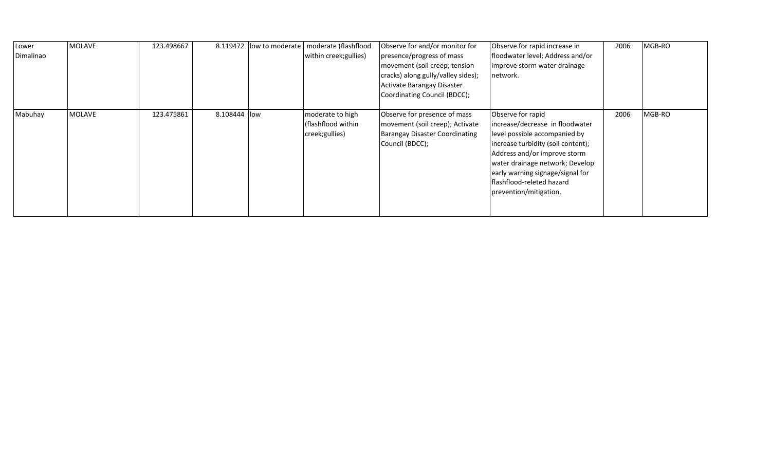| Lower<br>Dimalinao | <b>MOLAVE</b> | 123.498667 |               | 8.119472 low to moderate   moderate (flashflood<br>within creek; gullies) | Observe for and/or monitor for<br>presence/progress of mass<br>movement (soil creep; tension<br>cracks) along gully/valley sides);<br>Activate Barangay Disaster<br>Coordinating Council (BDCC); | Observe for rapid increase in<br>floodwater level; Address and/or<br>improve storm water drainage<br>network.                                                                                                                                                                             | 2006 | MGB-RO |
|--------------------|---------------|------------|---------------|---------------------------------------------------------------------------|--------------------------------------------------------------------------------------------------------------------------------------------------------------------------------------------------|-------------------------------------------------------------------------------------------------------------------------------------------------------------------------------------------------------------------------------------------------------------------------------------------|------|--------|
| Mabuhay            | MOLAVE        | 123.475861 | 8.108444 llow | moderate to high<br>(flashflood within<br>creek; gullies)                 | Observe for presence of mass<br>movement (soil creep); Activate<br><b>Barangay Disaster Coordinating</b><br>Council (BDCC);                                                                      | Observe for rapid<br>increase/decrease in floodwater<br>level possible accompanied by<br>increase turbidity (soil content);<br>Address and/or improve storm<br>water drainage network; Develop<br>early warning signage/signal for<br>flashflood-releted hazard<br>prevention/mitigation. | 2006 | MGB-RO |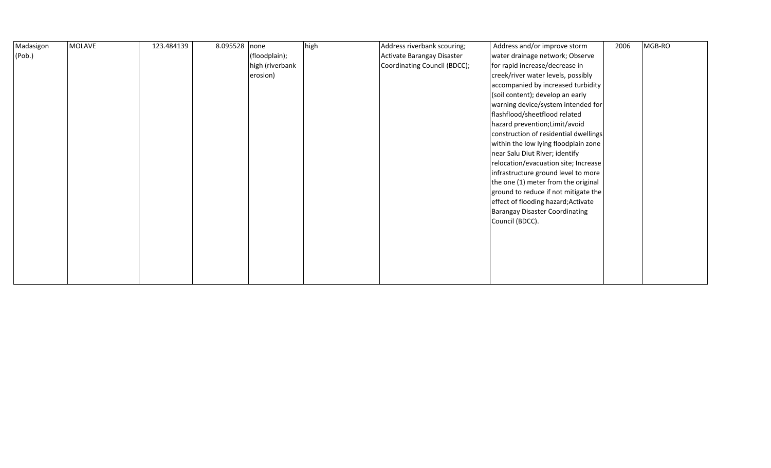| Madasigon | <b>MOLAVE</b> | 123.484139 | 8.095528 none |                 | high | Address riverbank scouring;  | Address and/or improve storm          | 2006 | MGB-RO |
|-----------|---------------|------------|---------------|-----------------|------|------------------------------|---------------------------------------|------|--------|
| (Pob.)    |               |            |               | (floodplain);   |      | Activate Barangay Disaster   | water drainage network; Observe       |      |        |
|           |               |            |               | high (riverbank |      | Coordinating Council (BDCC); | for rapid increase/decrease in        |      |        |
|           |               |            |               | erosion)        |      |                              | creek/river water levels, possibly    |      |        |
|           |               |            |               |                 |      |                              | accompanied by increased turbidity    |      |        |
|           |               |            |               |                 |      |                              | (soil content); develop an early      |      |        |
|           |               |            |               |                 |      |                              | warning device/system intended for    |      |        |
|           |               |            |               |                 |      |                              | flashflood/sheetflood related         |      |        |
|           |               |            |               |                 |      |                              | hazard prevention; Limit/avoid        |      |        |
|           |               |            |               |                 |      |                              | construction of residential dwellings |      |        |
|           |               |            |               |                 |      |                              | within the low lying floodplain zone  |      |        |
|           |               |            |               |                 |      |                              | near Salu Diut River; identify        |      |        |
|           |               |            |               |                 |      |                              | relocation/evacuation site; Increase  |      |        |
|           |               |            |               |                 |      |                              | infrastructure ground level to more   |      |        |
|           |               |            |               |                 |      |                              | the one (1) meter from the original   |      |        |
|           |               |            |               |                 |      |                              | ground to reduce if not mitigate the  |      |        |
|           |               |            |               |                 |      |                              | effect of flooding hazard; Activate   |      |        |
|           |               |            |               |                 |      |                              | <b>Barangay Disaster Coordinating</b> |      |        |
|           |               |            |               |                 |      |                              | Council (BDCC).                       |      |        |
|           |               |            |               |                 |      |                              |                                       |      |        |
|           |               |            |               |                 |      |                              |                                       |      |        |
|           |               |            |               |                 |      |                              |                                       |      |        |
|           |               |            |               |                 |      |                              |                                       |      |        |
|           |               |            |               |                 |      |                              |                                       |      |        |
|           |               |            |               |                 |      |                              |                                       |      |        |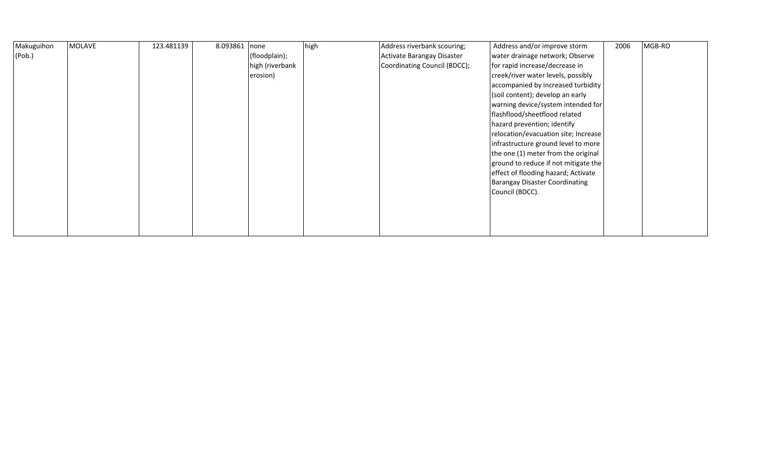| Makuguihon | <b>MOLAVE</b> | 123.481139 | 8.093861 | none            | high | Address riverbank scouring;  | Address and/or improve storm          | 2006 | MGB-RO |
|------------|---------------|------------|----------|-----------------|------|------------------------------|---------------------------------------|------|--------|
| (Pob.)     |               |            |          | (floodplain);   |      | Activate Barangay Disaster   | water drainage network; Observe       |      |        |
|            |               |            |          | high (riverbank |      | Coordinating Council (BDCC); | for rapid increase/decrease in        |      |        |
|            |               |            |          | erosion)        |      |                              | creek/river water levels, possibly    |      |        |
|            |               |            |          |                 |      |                              | accompanied by increased turbidity    |      |        |
|            |               |            |          |                 |      |                              | (soil content); develop an early      |      |        |
|            |               |            |          |                 |      |                              | warning device/system intended for    |      |        |
|            |               |            |          |                 |      |                              | flashflood/sheetflood related         |      |        |
|            |               |            |          |                 |      |                              | hazard prevention; identify           |      |        |
|            |               |            |          |                 |      |                              | relocation/evacuation site; Increase  |      |        |
|            |               |            |          |                 |      |                              | infrastructure ground level to more   |      |        |
|            |               |            |          |                 |      |                              | the one (1) meter from the original   |      |        |
|            |               |            |          |                 |      |                              | ground to reduce if not mitigate the  |      |        |
|            |               |            |          |                 |      |                              | effect of flooding hazard; Activate   |      |        |
|            |               |            |          |                 |      |                              | <b>Barangay Disaster Coordinating</b> |      |        |
|            |               |            |          |                 |      |                              | Council (BDCC).                       |      |        |
|            |               |            |          |                 |      |                              |                                       |      |        |
|            |               |            |          |                 |      |                              |                                       |      |        |
|            |               |            |          |                 |      |                              |                                       |      |        |
|            |               |            |          |                 |      |                              |                                       |      |        |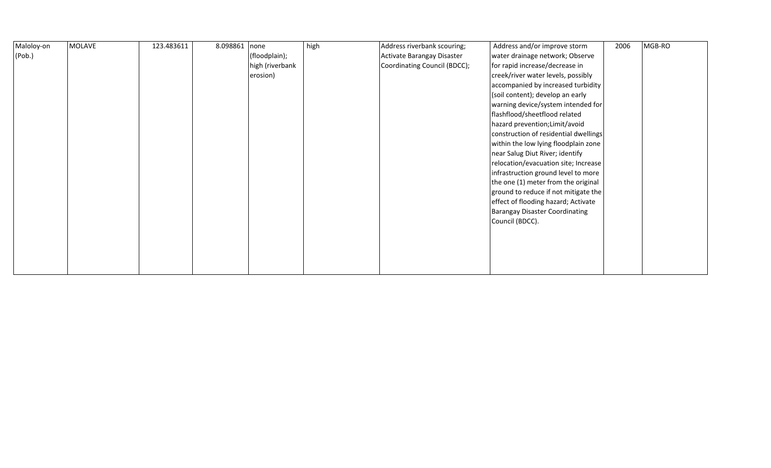| Maloloy-on | MOLAVE | 123.483611 | 8.098861 | none            | high | Address riverbank scouring;  | Address and/or improve storm          | 2006 | MGB-RO |
|------------|--------|------------|----------|-----------------|------|------------------------------|---------------------------------------|------|--------|
| (Pob.)     |        |            |          | (floodplain);   |      | Activate Barangay Disaster   | water drainage network; Observe       |      |        |
|            |        |            |          | high (riverbank |      | Coordinating Council (BDCC); | for rapid increase/decrease in        |      |        |
|            |        |            |          | erosion)        |      |                              | creek/river water levels, possibly    |      |        |
|            |        |            |          |                 |      |                              | accompanied by increased turbidity    |      |        |
|            |        |            |          |                 |      |                              | (soil content); develop an early      |      |        |
|            |        |            |          |                 |      |                              | warning device/system intended for    |      |        |
|            |        |            |          |                 |      |                              | flashflood/sheetflood related         |      |        |
|            |        |            |          |                 |      |                              | hazard prevention; Limit/avoid        |      |        |
|            |        |            |          |                 |      |                              | construction of residential dwellings |      |        |
|            |        |            |          |                 |      |                              | within the low lying floodplain zone  |      |        |
|            |        |            |          |                 |      |                              | near Salug Diut River; identify       |      |        |
|            |        |            |          |                 |      |                              | relocation/evacuation site; Increase  |      |        |
|            |        |            |          |                 |      |                              | infrastruction ground level to more   |      |        |
|            |        |            |          |                 |      |                              | the one (1) meter from the original   |      |        |
|            |        |            |          |                 |      |                              | ground to reduce if not mitigate the  |      |        |
|            |        |            |          |                 |      |                              | effect of flooding hazard; Activate   |      |        |
|            |        |            |          |                 |      |                              | <b>Barangay Disaster Coordinating</b> |      |        |
|            |        |            |          |                 |      |                              | Council (BDCC).                       |      |        |
|            |        |            |          |                 |      |                              |                                       |      |        |
|            |        |            |          |                 |      |                              |                                       |      |        |
|            |        |            |          |                 |      |                              |                                       |      |        |
|            |        |            |          |                 |      |                              |                                       |      |        |
|            |        |            |          |                 |      |                              |                                       |      |        |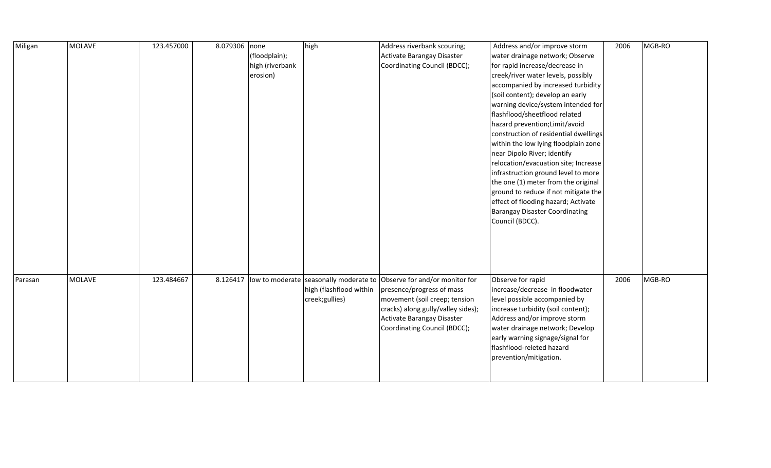| Miligan | <b>MOLAVE</b> | 123.457000 | 8.079306 none |                 | high                    | Address riverbank scouring;                                                      | Address and/or improve storm          | 2006 | MGB-RO |
|---------|---------------|------------|---------------|-----------------|-------------------------|----------------------------------------------------------------------------------|---------------------------------------|------|--------|
|         |               |            |               | (floodplain);   |                         | Activate Barangay Disaster                                                       | water drainage network; Observe       |      |        |
|         |               |            |               | high (riverbank |                         | Coordinating Council (BDCC);                                                     | for rapid increase/decrease in        |      |        |
|         |               |            |               | erosion)        |                         |                                                                                  | creek/river water levels, possibly    |      |        |
|         |               |            |               |                 |                         |                                                                                  | accompanied by increased turbidity    |      |        |
|         |               |            |               |                 |                         |                                                                                  | (soil content); develop an early      |      |        |
|         |               |            |               |                 |                         |                                                                                  | warning device/system intended for    |      |        |
|         |               |            |               |                 |                         |                                                                                  | flashflood/sheetflood related         |      |        |
|         |               |            |               |                 |                         |                                                                                  | hazard prevention; Limit/avoid        |      |        |
|         |               |            |               |                 |                         |                                                                                  | construction of residential dwellings |      |        |
|         |               |            |               |                 |                         |                                                                                  | within the low lying floodplain zone  |      |        |
|         |               |            |               |                 |                         |                                                                                  | near Dipolo River; identify           |      |        |
|         |               |            |               |                 |                         |                                                                                  | relocation/evacuation site; Increase  |      |        |
|         |               |            |               |                 |                         |                                                                                  | infrastruction ground level to more   |      |        |
|         |               |            |               |                 |                         |                                                                                  | the one (1) meter from the original   |      |        |
|         |               |            |               |                 |                         |                                                                                  | ground to reduce if not mitigate the  |      |        |
|         |               |            |               |                 |                         |                                                                                  | effect of flooding hazard; Activate   |      |        |
|         |               |            |               |                 |                         |                                                                                  | Barangay Disaster Coordinating        |      |        |
|         |               |            |               |                 |                         |                                                                                  | Council (BDCC).                       |      |        |
|         |               |            |               |                 |                         |                                                                                  |                                       |      |        |
|         |               |            |               |                 |                         |                                                                                  |                                       |      |        |
|         |               |            |               |                 |                         |                                                                                  |                                       |      |        |
|         |               |            |               |                 |                         |                                                                                  |                                       |      |        |
|         |               |            |               |                 |                         |                                                                                  |                                       |      |        |
| Parasan | <b>MOLAVE</b> | 123.484667 |               |                 |                         | 8.126417  low to moderate  seasonally moderate to Observe for and/or monitor for | Observe for rapid                     | 2006 | MGB-RO |
|         |               |            |               |                 | high (flashflood within | presence/progress of mass                                                        | increase/decrease in floodwater       |      |        |
|         |               |            |               |                 | creek;gullies)          | movement (soil creep; tension                                                    | level possible accompanied by         |      |        |
|         |               |            |               |                 |                         | cracks) along gully/valley sides);                                               | increase turbidity (soil content);    |      |        |
|         |               |            |               |                 |                         | Activate Barangay Disaster                                                       | Address and/or improve storm          |      |        |
|         |               |            |               |                 |                         | Coordinating Council (BDCC);                                                     | water drainage network; Develop       |      |        |
|         |               |            |               |                 |                         |                                                                                  | early warning signage/signal for      |      |        |
|         |               |            |               |                 |                         |                                                                                  | flashflood-releted hazard             |      |        |
|         |               |            |               |                 |                         |                                                                                  | prevention/mitigation.                |      |        |
|         |               |            |               |                 |                         |                                                                                  |                                       |      |        |
|         |               |            |               |                 |                         |                                                                                  |                                       |      |        |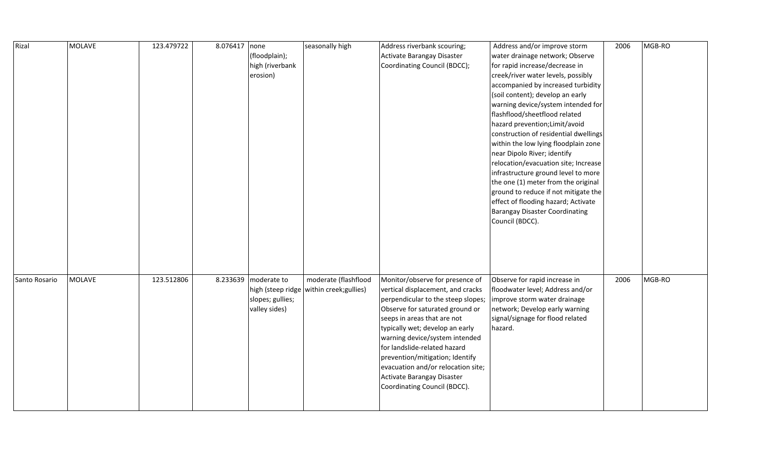| Rizal         | <b>MOLAVE</b> | 123.479722 | 8.076417 | none             | seasonally high                          | Address riverbank scouring;        | Address and/or improve storm          | 2006 | MGB-RO |
|---------------|---------------|------------|----------|------------------|------------------------------------------|------------------------------------|---------------------------------------|------|--------|
|               |               |            |          | (floodplain);    |                                          | Activate Barangay Disaster         | water drainage network; Observe       |      |        |
|               |               |            |          | high (riverbank  |                                          | Coordinating Council (BDCC);       | for rapid increase/decrease in        |      |        |
|               |               |            |          | erosion)         |                                          |                                    | creek/river water levels, possibly    |      |        |
|               |               |            |          |                  |                                          |                                    | accompanied by increased turbidity    |      |        |
|               |               |            |          |                  |                                          |                                    | (soil content); develop an early      |      |        |
|               |               |            |          |                  |                                          |                                    | warning device/system intended for    |      |        |
|               |               |            |          |                  |                                          |                                    | flashflood/sheetflood related         |      |        |
|               |               |            |          |                  |                                          |                                    | hazard prevention; Limit/avoid        |      |        |
|               |               |            |          |                  |                                          |                                    | construction of residential dwellings |      |        |
|               |               |            |          |                  |                                          |                                    | within the low lying floodplain zone  |      |        |
|               |               |            |          |                  |                                          |                                    | near Dipolo River; identify           |      |        |
|               |               |            |          |                  |                                          |                                    | relocation/evacuation site; Increase  |      |        |
|               |               |            |          |                  |                                          |                                    | infrastructure ground level to more   |      |        |
|               |               |            |          |                  |                                          |                                    | the one (1) meter from the original   |      |        |
|               |               |            |          |                  |                                          |                                    | ground to reduce if not mitigate the  |      |        |
|               |               |            |          |                  |                                          |                                    | effect of flooding hazard; Activate   |      |        |
|               |               |            |          |                  |                                          |                                    | <b>Barangay Disaster Coordinating</b> |      |        |
|               |               |            |          |                  |                                          |                                    | Council (BDCC).                       |      |        |
|               |               |            |          |                  |                                          |                                    |                                       |      |        |
|               |               |            |          |                  |                                          |                                    |                                       |      |        |
|               |               |            |          |                  |                                          |                                    |                                       |      |        |
|               |               |            |          |                  |                                          |                                    |                                       |      |        |
|               |               |            |          |                  |                                          |                                    |                                       |      |        |
| Santo Rosario | <b>MOLAVE</b> | 123.512806 | 8.233639 | moderate to      | moderate (flashflood                     | Monitor/observe for presence of    | Observe for rapid increase in         | 2006 | MGB-RO |
|               |               |            |          |                  | high (steep ridge within creek; gullies) | vertical displacement, and cracks  | floodwater level; Address and/or      |      |        |
|               |               |            |          | slopes; gullies; |                                          | perpendicular to the steep slopes; | improve storm water drainage          |      |        |
|               |               |            |          | valley sides)    |                                          | Observe for saturated ground or    | network; Develop early warning        |      |        |
|               |               |            |          |                  |                                          | seeps in areas that are not        | signal/signage for flood related      |      |        |
|               |               |            |          |                  |                                          | typically wet; develop an early    | hazard.                               |      |        |
|               |               |            |          |                  |                                          | warning device/system intended     |                                       |      |        |
|               |               |            |          |                  |                                          | for landslide-related hazard       |                                       |      |        |
|               |               |            |          |                  |                                          | prevention/mitigation; Identify    |                                       |      |        |
|               |               |            |          |                  |                                          | evacuation and/or relocation site; |                                       |      |        |
|               |               |            |          |                  |                                          | Activate Barangay Disaster         |                                       |      |        |
|               |               |            |          |                  |                                          | Coordinating Council (BDCC).       |                                       |      |        |
|               |               |            |          |                  |                                          |                                    |                                       |      |        |
|               |               |            |          |                  |                                          |                                    |                                       |      |        |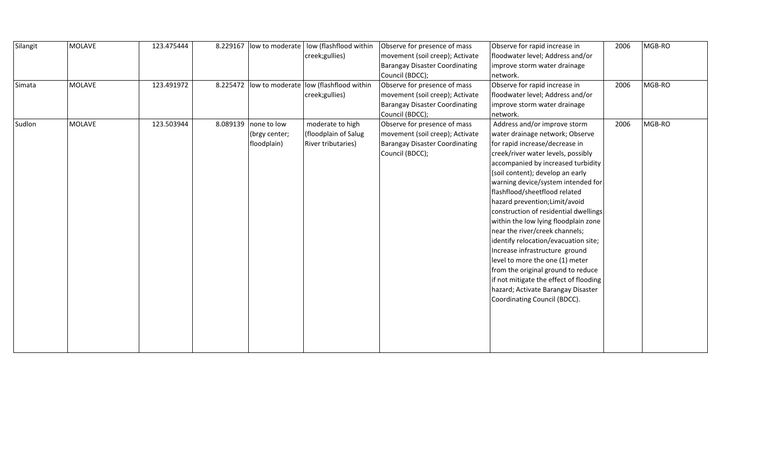| Silangit | <b>MOLAVE</b> | 123.475444 |          | 8.229167 low to moderate | low (flashflood within                 | Observe for presence of mass          | Observe for rapid increase in          | 2006 | MGB-RO |
|----------|---------------|------------|----------|--------------------------|----------------------------------------|---------------------------------------|----------------------------------------|------|--------|
|          |               |            |          |                          | creek;gullies)                         | movement (soil creep); Activate       | floodwater level; Address and/or       |      |        |
|          |               |            |          |                          |                                        | <b>Barangay Disaster Coordinating</b> | improve storm water drainage           |      |        |
|          |               |            |          |                          |                                        | Council (BDCC);                       | network.                               |      |        |
| Simata   | <b>MOLAVE</b> | 123.491972 | 8.225472 |                          | low to moderate low (flashflood within | Observe for presence of mass          | Observe for rapid increase in          | 2006 | MGB-RO |
|          |               |            |          |                          | creek;gullies)                         | movement (soil creep); Activate       | floodwater level; Address and/or       |      |        |
|          |               |            |          |                          |                                        | <b>Barangay Disaster Coordinating</b> | improve storm water drainage           |      |        |
|          |               |            |          |                          |                                        | Council (BDCC);                       | network.                               |      |        |
| Sudlon   | <b>MOLAVE</b> | 123.503944 |          | 8.089139 none to low     | moderate to high                       | Observe for presence of mass          | Address and/or improve storm           | 2006 | MGB-RO |
|          |               |            |          | (brgy center;            | (floodplain of Salug                   | movement (soil creep); Activate       | water drainage network; Observe        |      |        |
|          |               |            |          | floodplain)              | River tributaries)                     | <b>Barangay Disaster Coordinating</b> | for rapid increase/decrease in         |      |        |
|          |               |            |          |                          |                                        | Council (BDCC);                       | creek/river water levels, possibly     |      |        |
|          |               |            |          |                          |                                        |                                       | accompanied by increased turbidity     |      |        |
|          |               |            |          |                          |                                        |                                       | (soil content); develop an early       |      |        |
|          |               |            |          |                          |                                        |                                       | warning device/system intended for     |      |        |
|          |               |            |          |                          |                                        |                                       | flashflood/sheetflood related          |      |        |
|          |               |            |          |                          |                                        |                                       | hazard prevention; Limit/avoid         |      |        |
|          |               |            |          |                          |                                        |                                       | construction of residential dwellings  |      |        |
|          |               |            |          |                          |                                        |                                       | within the low lying floodplain zone   |      |        |
|          |               |            |          |                          |                                        |                                       | near the river/creek channels;         |      |        |
|          |               |            |          |                          |                                        |                                       | identify relocation/evacuation site;   |      |        |
|          |               |            |          |                          |                                        |                                       | Increase infrastructure ground         |      |        |
|          |               |            |          |                          |                                        |                                       | level to more the one (1) meter        |      |        |
|          |               |            |          |                          |                                        |                                       | from the original ground to reduce     |      |        |
|          |               |            |          |                          |                                        |                                       | if not mitigate the effect of flooding |      |        |
|          |               |            |          |                          |                                        |                                       | hazard; Activate Barangay Disaster     |      |        |
|          |               |            |          |                          |                                        |                                       | Coordinating Council (BDCC).           |      |        |
|          |               |            |          |                          |                                        |                                       |                                        |      |        |
|          |               |            |          |                          |                                        |                                       |                                        |      |        |
|          |               |            |          |                          |                                        |                                       |                                        |      |        |
|          |               |            |          |                          |                                        |                                       |                                        |      |        |
|          |               |            |          |                          |                                        |                                       |                                        |      |        |